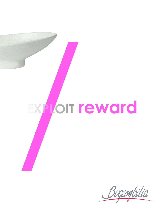

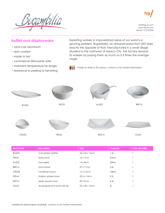rbilia



info@fsg.uk.com www.fsg.uk.com +44 (0) 115 9767090

## **buffet and displayware**

- sand cast aluminium
- resin coated
- made to last

CRD02

- commerical dishwasher safe
- maintains temperature for longer
- resistance to peeling or tarnishing

Exploiting workers in impoverished areas of our world is a growing problem. *Bugambilia*, an artisanal brand from GET does exactly the opposite of that. Manufactured in a small village situated to the northwest of Mexico City, the factory rewards its workers by paying them as much as 3-5 times the average wage.



\*made to order in 23 colours, contact us for further information



FRS44

BSD14 FUL04

| <b>Item Code</b>  | <b>Description</b>              | <b>Size</b>        | Capacity | <b>Case Quantity</b> |
|-------------------|---------------------------------|--------------------|----------|----------------------|
| <b>BO204</b>      | oval sphere platter             | 43 x 23 x 14cm     | 1.3L     |                      |
| FRD31             | texas bowl                      | $14 \times 7$ cm   | 576ml    |                      |
| MJS02             | molcajete                       | $14 \times 8$ cm   | 550ml    |                      |
| <b>BR014</b>      | round bowl                      | $37 \times 11$ cm  | 5.5L     |                      |
| CRD <sub>02</sub> | condiment bowl                  | $12 \times 5.5$ cm | 148ml    |                      |
| FRS44             | shallow sphere bowl             | 32.5 x 14cm        | 3.5L     |                      |
| BSD14             | deep square bowl                | $29 \times 9$ cm   | 3.4L     |                      |
| FUL04             | rectangular fruit bowl with lip | 53 x 30 x 12cm     | 4L       |                      |